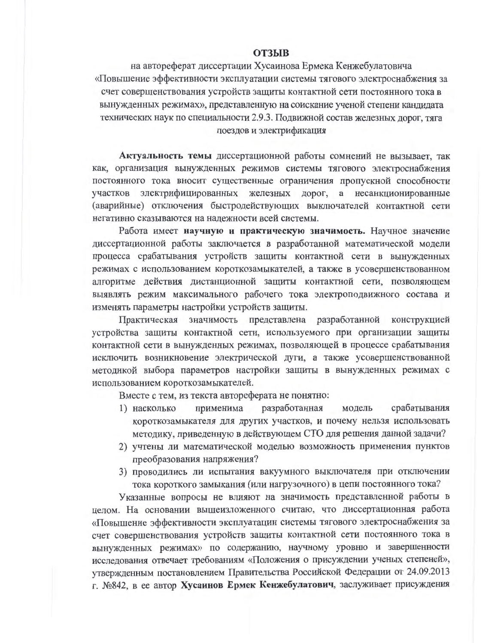## **ОТЗЫВ**

на автореферат диссертации Хусаинова Ермека Кенжебулатовича «Повышение эффективности эксплуатации системы тягового электроснабжения за счет совершенствования устройств защиты контактной сети постоянного тока в вынужденных режимах», представленную на соискание ученой степени кандидата технических наук по специальности 2.9.3. Подвижной состав железных дорог, тяга поездов и электрификация

Актуальность темы диссертационной работы сомнений не вызывает, так как, организация вынужденных режимов системы тягового электроснабжения постоянного тока вносит существенные ограничения пропускной способности участков электрифицированных железных дорог, а несанкционированные (аварийные) отключения быстродействующих выключателей контактной сети негативно сказываются на надежности всей системы.

Работа имеет научную и практическую значимость. Научное значение диссертационной работы заключается в разработанной математической модели процесса срабатывания устройств защиты контактной сети в вынужденных режимах с использованием короткозамыкателей, а также в усовершенствованном алгоритме действия дистанционной защиты контактной сети, позволяющем выявлять режим максимального рабочего тока электроподвижного состава и изменять параметры настройки устройств защиты.

Практическая значимость представлена разработанной конструкцией устройства защиты контактной сети, используемого при организации защиты контактной сети в вынужденных режимах, позволяющей в процессе срабатывания исключить возникновение электрической дуги, а также усовершенствованной методикой выбора параметров настройки защиты в вынужденных режимах с использованием короткозамыкателей.

Вместе с тем, из текста автореферата не понятно:

- разработанная модель срабатывания 1) насколько применима короткозамыкателя для других участков, и почему нельзя использовать методику, приведенную в действующем СТО для решения данной задачи?
- 2) учтены ли математической моделью возможность применения пунктов преобразования напряжения?
- 3) проводились ли испытания вакуумного выключателя при отключении тока короткого замыкания (или нагрузочного) в цепи постоянного тока?

Указанные вопросы не влияют на значимость представленной работы в целом. На основании вышеизложенного считаю, что диссертационная работа «Повышение эффективности эксплуатации системы тягового электроснабжения за счет совершенствования устройств защиты контактной сети постоянного тока в вынужденных режимах» по содержанию, научному уровню и завершенности исследования отвечает требованиям «Положения о присуждении ученых степеней», утвержденным постановлением Правительства Российской Федерации от 24.09.2013 г. №842, в ее автор Хусаинов Ермек Кенжебулатович, заслуживает присуждения